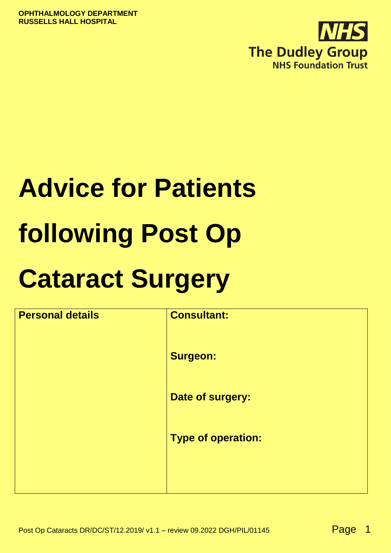

# **Advice for Patients following Post Op**

# **Cataract Surgery**

| <b>Personal details</b> | <b>Consultant:</b>        |
|-------------------------|---------------------------|
|                         | <b>Surgeon:</b>           |
|                         | Date of surgery:          |
|                         | <b>Type of operation:</b> |
|                         |                           |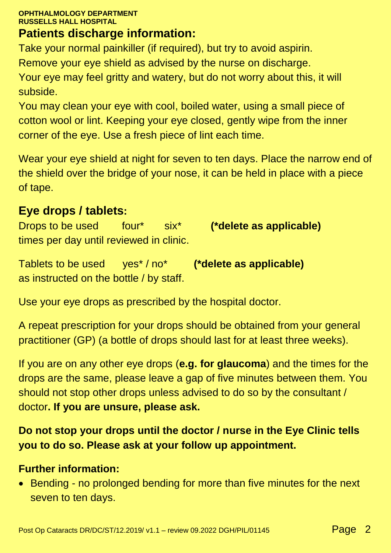#### **OPHTHALMOLOGY DEPARTMENT RUSSELLS HALL HOSPITAL**

## **Patients discharge information:**

Take your normal painkiller (if required), but try to avoid aspirin. Remove your eye shield as advised by the nurse on discharge. Your eye may feel gritty and watery, but do not worry about this, it will subside.

You may clean your eye with cool, boiled water, using a small piece of cotton wool or lint. Keeping your eye closed, gently wipe from the inner corner of the eye. Use a fresh piece of lint each time.

Wear your eye shield at night for seven to ten days. Place the narrow end of the shield over the bridge of your nose, it can be held in place with a piece of tape.

#### **Eye drops / tablets:**

Drops to be used four\* six\* **(\*delete as applicable)** times per day until reviewed in clinic.

Tablets to be used yes\* / no\* **(\*delete as applicable)** as instructed on the bottle / by staff.

Use your eye drops as prescribed by the hospital doctor.

A repeat prescription for your drops should be obtained from your general practitioner (GP) (a bottle of drops should last for at least three weeks).

If you are on any other eye drops (**e.g. for glaucoma**) and the times for the drops are the same, please leave a gap of five minutes between them. You should not stop other drops unless advised to do so by the consultant / doctor**. If you are unsure, please ask.**

**Do not stop your drops until the doctor / nurse in the Eye Clinic tells you to do so. Please ask at your follow up appointment.**

#### **Further information:**

• Bending - no prolonged bending for more than five minutes for the next seven to ten days.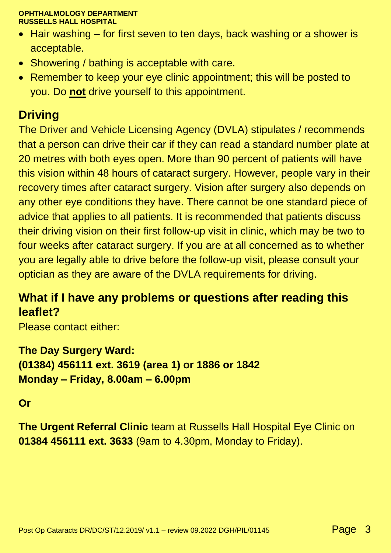#### **OPHTHALMOLOGY DEPARTMENT RUSSELLS HALL HOSPITAL**

- Hair washing for first seven to ten days, back washing or a shower is acceptable.
- Showering / bathing is acceptable with care.
- Remember to keep your eye clinic appointment; this will be posted to you. Do **not** drive yourself to this appointment.

# **Driving**

The Driver and Vehicle Licensing Agency (DVLA) stipulates / recommends that a person can drive their car if they can read a standard number plate at 20 metres with both eyes open. More than 90 percent of patients will have this vision within 48 hours of cataract surgery. However, people vary in their recovery times after cataract surgery. Vision after surgery also depends on any other eye conditions they have. There cannot be one standard piece of advice that applies to all patients. It is recommended that patients discuss their driving vision on their first follow-up visit in clinic, which may be two to four weeks after cataract surgery. If you are at all concerned as to whether you are legally able to drive before the follow-up visit, please consult your optician as they are aware of the DVLA requirements for driving.

### **What if I have any problems or questions after reading this leaflet?**

Please contact either:

**The Day Surgery Ward: (01384) 456111 ext. 3619 (area 1) or 1886 or 1842 Monday – Friday, 8.00am – 6.00pm**

#### **Or**

**The Urgent Referral Clinic** team at Russells Hall Hospital Eye Clinic on **01384 456111 ext. 3633** (9am to 4.30pm, Monday to Friday).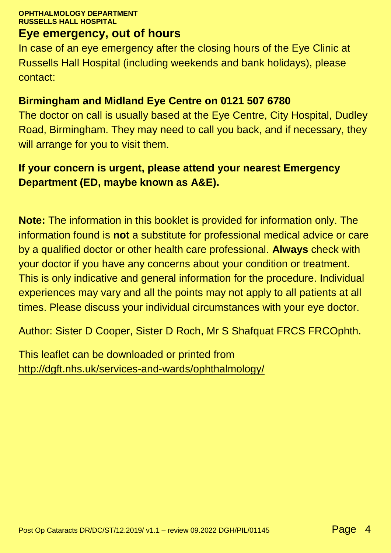#### **OPHTHALMOLOGY DEPARTMENT RUSSELLS HALL HOSPITAL**

#### **Eye emergency, out of hours**

In case of an eye emergency after the closing hours of the Eye Clinic at Russells Hall Hospital (including weekends and bank holidays), please contact:

#### **Birmingham and Midland Eye Centre on 0121 507 6780**

The doctor on call is usually based at the Eye Centre, City Hospital, Dudley Road, Birmingham. They may need to call you back, and if necessary, they will arrange for you to visit them.

#### **If your concern is urgent, please attend your nearest Emergency Department (ED, maybe known as A&E).**

**Note:** The information in this booklet is provided for information only. The information found is **not** a substitute for professional medical advice or care by a qualified doctor or other health care professional. **Always** check with your doctor if you have any concerns about your condition or treatment. This is only indicative and general information for the procedure. Individual experiences may vary and all the points may not apply to all patients at all times. Please discuss your individual circumstances with your eye doctor.

Author: Sister D Cooper, Sister D Roch, Mr S Shafquat FRCS FRCOphth.

This leaflet can be downloaded or printed from <http://dgft.nhs.uk/services-and-wards/ophthalmology/>